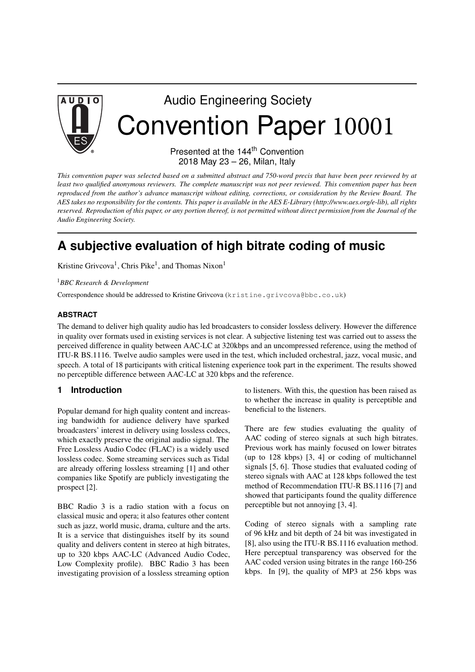

# Audio Engineering Society Convention Paper 10001

Presented at the 144<sup>th</sup> Convention 2018 May 23 – 26, Milan, Italy

This convention paper was selected based on a submitted abstract and 750-word precis that have been peer reviewed by at least two qualified anonymous reviewers. The complete manuscript was not peer reviewed. This convention paper has been reproduced from the author's advance manuscript without editing, corrections, or consideration by the Review Board. The AES takes no responsibility for the contents. This paper is available in the AES E-Library (http://www.aes.org/e-lib), all rights reserved. Reproduction of this paper, or any portion thereof, is not permitted without direct permission from the Journal of the *Audio Engineering Society.*

# **A subjective evaluation of high bitrate coding of music**

Kristine Grivcova<sup>1</sup>, Chris Pike<sup>1</sup>, and Thomas Nixon<sup>1</sup>

<sup>1</sup>*BBC Research & Development*

Correspondence should be addressed to Kristine Grivcova (kristine.grivcova@bbc.co.uk)

#### **ABSTRACT**

The demand to deliver high quality audio has led broadcasters to consider lossless delivery. However the difference in quality over formats used in existing services is not clear. A subjective listening test was carried out to assess the perceived difference in quality between AAC-LC at 320kbps and an uncompressed reference, using the method of ITU-R BS.1116. Twelve audio samples were used in the test, which included orchestral, jazz, vocal music, and speech. A total of 18 participants with critical listening experience took part in the experiment. The results showed no perceptible difference between AAC-LC at 320 kbps and the reference.

#### **1 Introduction**

Popular demand for high quality content and increasing bandwidth for audience delivery have sparked broadcasters' interest in delivery using lossless codecs, which exactly preserve the original audio signal. The Free Lossless Audio Codec (FLAC) is a widely used lossless codec. Some streaming services such as Tidal are already offering lossless streaming [1] and other companies like Spotify are publicly investigating the prospect [2].

BBC Radio 3 is a radio station with a focus on classical music and opera; it also features other content such as jazz, world music, drama, culture and the arts. It is a service that distinguishes itself by its sound quality and delivers content in stereo at high bitrates, up to 320 kbps AAC-LC (Advanced Audio Codec, Low Complexity profile). BBC Radio 3 has been investigating provision of a lossless streaming option

to listeners. With this, the question has been raised as to whether the increase in quality is perceptible and beneficial to the listeners.

There are few studies evaluating the quality of AAC coding of stereo signals at such high bitrates. Previous work has mainly focused on lower bitrates (up to 128 kbps) [3, 4] or coding of multichannel signals [5, 6]. Those studies that evaluated coding of stereo signals with AAC at 128 kbps followed the test method of Recommendation ITU-R BS.1116 [7] and showed that participants found the quality difference perceptible but not annoying [3, 4].

Coding of stereo signals with a sampling rate of 96 kHz and bit depth of 24 bit was investigated in [8], also using the ITU-R BS.1116 evaluation method. Here perceptual transparency was observed for the AAC coded version using bitrates in the range 160-256 kbps. In [9], the quality of MP3 at 256 kbps was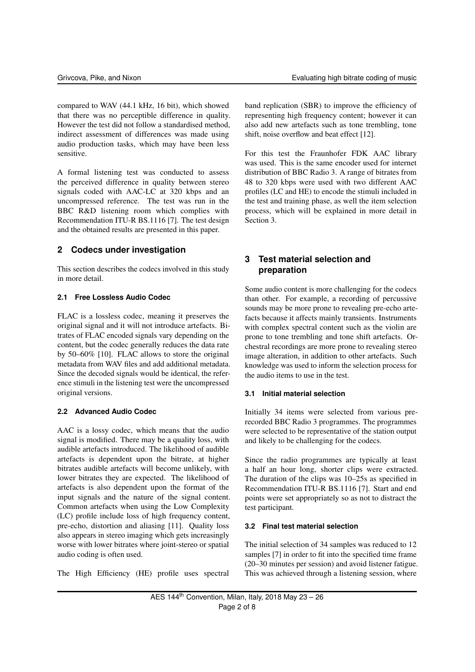compared to WAV (44.1 kHz, 16 bit), which showed that there was no perceptible difference in quality. However the test did not follow a standardised method, indirect assessment of differences was made using audio production tasks, which may have been less sensitive.

A formal listening test was conducted to assess the perceived difference in quality between stereo signals coded with AAC-LC at 320 kbps and an uncompressed reference. The test was run in the BBC R&D listening room which complies with Recommendation ITU-R BS.1116 [7]. The test design and the obtained results are presented in this paper.

# **2 Codecs under investigation**

This section describes the codecs involved in this study in more detail.

#### **2.1 Free Lossless Audio Codec**

FLAC is a lossless codec, meaning it preserves the original signal and it will not introduce artefacts. Bitrates of FLAC encoded signals vary depending on the content, but the codec generally reduces the data rate by 50–60% [10]. FLAC allows to store the original metadata from WAV files and add additional metadata. Since the decoded signals would be identical, the reference stimuli in the listening test were the uncompressed original versions.

#### **2.2 Advanced Audio Codec**

AAC is a lossy codec, which means that the audio signal is modified. There may be a quality loss, with audible artefacts introduced. The likelihood of audible artefacts is dependent upon the bitrate, at higher bitrates audible artefacts will become unlikely, with lower bitrates they are expected. The likelihood of artefacts is also dependent upon the format of the input signals and the nature of the signal content. Common artefacts when using the Low Complexity (LC) profile include loss of high frequency content, pre-echo, distortion and aliasing [11]. Quality loss also appears in stereo imaging which gets increasingly worse with lower bitrates where joint-stereo or spatial audio coding is often used.

The High Efficiency (HE) profile uses spectral

band replication (SBR) to improve the efficiency of representing high frequency content; however it can also add new artefacts such as tone trembling, tone shift, noise overflow and beat effect [12].

For this test the Fraunhofer FDK AAC library was used. This is the same encoder used for internet distribution of BBC Radio 3. A range of bitrates from 48 to 320 kbps were used with two different AAC profiles (LC and HE) to encode the stimuli included in the test and training phase, as well the item selection process, which will be explained in more detail in Section 3.

# **3 Test material selection and preparation**

Some audio content is more challenging for the codecs than other. For example, a recording of percussive sounds may be more prone to revealing pre-echo artefacts because it affects mainly transients. Instruments with complex spectral content such as the violin are prone to tone trembling and tone shift artefacts. Orchestral recordings are more prone to revealing stereo image alteration, in addition to other artefacts. Such knowledge was used to inform the selection process for the audio items to use in the test.

#### **3.1 Initial material selection**

Initially 34 items were selected from various prerecorded BBC Radio 3 programmes. The programmes were selected to be representative of the station output and likely to be challenging for the codecs.

Since the radio programmes are typically at least a half an hour long, shorter clips were extracted. The duration of the clips was 10–25s as specified in Recommendation ITU-R BS.1116 [7]. Start and end points were set appropriately so as not to distract the test participant.

#### **3.2 Final test material selection**

The initial selection of 34 samples was reduced to 12 samples [7] in order to fit into the specified time frame (20–30 minutes per session) and avoid listener fatigue. This was achieved through a listening session, where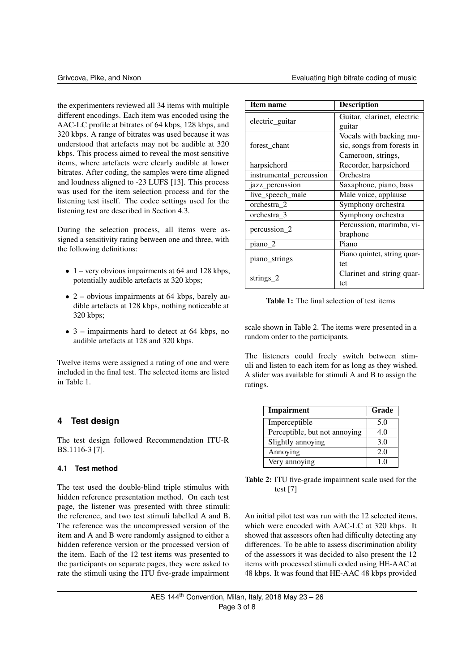the experimenters reviewed all 34 items with multiple different encodings. Each item was encoded using the AAC-LC profile at bitrates of 64 kbps, 128 kbps, and 320 kbps. A range of bitrates was used because it was understood that artefacts may not be audible at 320 kbps. This process aimed to reveal the most sensitive items, where artefacts were clearly audible at lower bitrates. After coding, the samples were time aligned and loudness aligned to -23 LUFS [13]. This process was used for the item selection process and for the listening test itself. The codec settings used for the listening test are described in Section 4.3.

During the selection process, all items were assigned a sensitivity rating between one and three, with the following definitions:

- $1$  very obvious impairments at 64 and 128 kbps, potentially audible artefacts at 320 kbps;
- 2 obvious impairments at 64 kbps, barely audible artefacts at 128 kbps, nothing noticeable at 320 kbps;
- $3$  impairments hard to detect at 64 kbps, no audible artefacts at 128 and 320 kbps.

Twelve items were assigned a rating of one and were included in the final test. The selected items are listed in Table 1.

# **4 Test design**

The test design followed Recommendation ITU-R BS.1116-3 [7].

#### **4.1 Test method**

The test used the double-blind triple stimulus with hidden reference presentation method. On each test page, the listener was presented with three stimuli: the reference, and two test stimuli labelled A and B. The reference was the uncompressed version of the item and A and B were randomly assigned to either a hidden reference version or the processed version of the item. Each of the 12 test items was presented to the participants on separate pages, they were asked to rate the stimuli using the ITU five-grade impairment

| Item name               | <b>Description</b>          |  |
|-------------------------|-----------------------------|--|
|                         | Guitar, clarinet, electric  |  |
| electric_guitar         | guitar                      |  |
|                         | Vocals with backing mu-     |  |
| forest chant            | sic, songs from forests in  |  |
|                         | Cameroon, strings,          |  |
| harpsichord             | Recorder, harpsichord       |  |
| instrumental_percussion | Orchestra                   |  |
| jazz_percussion         | Saxaphone, piano, bass      |  |
| live_speech_male        | Male voice, applause        |  |
| orchestra 2             | Symphony orchestra          |  |
| orchestra 3             | Symphony orchestra          |  |
| percussion_2            | Percussion, marimba, vi-    |  |
|                         | braphone                    |  |
| piano 2                 | Piano                       |  |
|                         | Piano quintet, string quar- |  |
| piano_strings           | tet                         |  |
| strings $2$             | Clarinet and string quar-   |  |
|                         | tet                         |  |

Table 1: The final selection of test items

scale shown in Table 2. The items were presented in a random order to the participants.

The listeners could freely switch between stimuli and listen to each item for as long as they wished. A slider was available for stimuli A and B to assign the ratings.

| Impairment                    | Grade |
|-------------------------------|-------|
| Imperceptible                 | 5.0   |
| Perceptible, but not annoying | 4.0   |
| Slightly annoying             | 3.0   |
| Annoying                      | 2.0   |
| Very annoying                 | 10    |

Table 2: ITU five-grade impairment scale used for the test [7]

An initial pilot test was run with the 12 selected items, which were encoded with AAC-LC at 320 kbps. It showed that assessors often had difficulty detecting any differences. To be able to assess discrimination ability of the assessors it was decided to also present the 12 items with processed stimuli coded using HE-AAC at 48 kbps. It was found that HE-AAC 48 kbps provided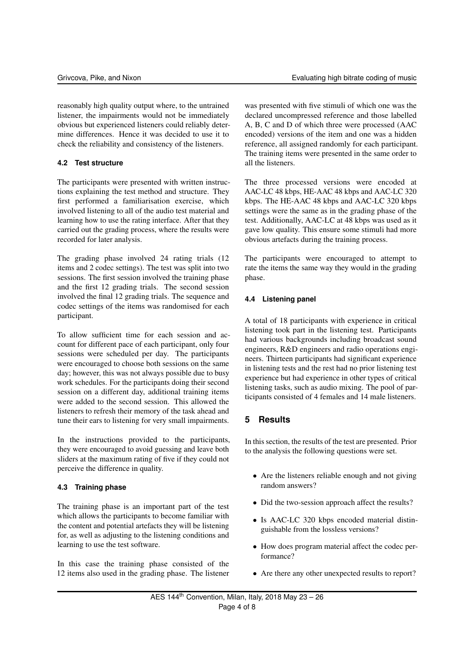reasonably high quality output where, to the untrained listener, the impairments would not be immediately obvious but experienced listeners could reliably determine differences. Hence it was decided to use it to check the reliability and consistency of the listeners.

#### **4.2 Test structure**

The participants were presented with written instructions explaining the test method and structure. They first performed a familiarisation exercise, which involved listening to all of the audio test material and learning how to use the rating interface. After that they carried out the grading process, where the results were recorded for later analysis.

The grading phase involved 24 rating trials (12 items and 2 codec settings). The test was split into two sessions. The first session involved the training phase and the first 12 grading trials. The second session involved the final 12 grading trials. The sequence and codec settings of the items was randomised for each participant.

To allow sufficient time for each session and account for different pace of each participant, only four sessions were scheduled per day. The participants were encouraged to choose both sessions on the same day; however, this was not always possible due to busy work schedules. For the participants doing their second session on a different day, additional training items were added to the second session. This allowed the listeners to refresh their memory of the task ahead and tune their ears to listening for very small impairments.

In the instructions provided to the participants, they were encouraged to avoid guessing and leave both sliders at the maximum rating of five if they could not perceive the difference in quality.

#### **4.3 Training phase**

The training phase is an important part of the test which allows the participants to become familiar with the content and potential artefacts they will be listening for, as well as adjusting to the listening conditions and learning to use the test software.

In this case the training phase consisted of the 12 items also used in the grading phase. The listener

was presented with five stimuli of which one was the declared uncompressed reference and those labelled A, B, C and D of which three were processed (AAC encoded) versions of the item and one was a hidden reference, all assigned randomly for each participant. The training items were presented in the same order to all the listeners.

The three processed versions were encoded at AAC-LC 48 kbps, HE-AAC 48 kbps and AAC-LC 320 kbps. The HE-AAC 48 kbps and AAC-LC 320 kbps settings were the same as in the grading phase of the test. Additionally, AAC-LC at 48 kbps was used as it gave low quality. This ensure some stimuli had more obvious artefacts during the training process.

The participants were encouraged to attempt to rate the items the same way they would in the grading phase.

# **4.4 Listening panel**

A total of 18 participants with experience in critical listening took part in the listening test. Participants had various backgrounds including broadcast sound engineers, R&D engineers and radio operations engineers. Thirteen participants had significant experience in listening tests and the rest had no prior listening test experience but had experience in other types of critical listening tasks, such as audio mixing. The pool of participants consisted of 4 females and 14 male listeners.

# **5 Results**

In this section, the results of the test are presented. Prior to the analysis the following questions were set.

- Are the listeners reliable enough and not giving random answers?
- Did the two-session approach affect the results?
- Is AAC-LC 320 kbps encoded material distinguishable from the lossless versions?
- How does program material affect the codec performance?
- Are there any other unexpected results to report?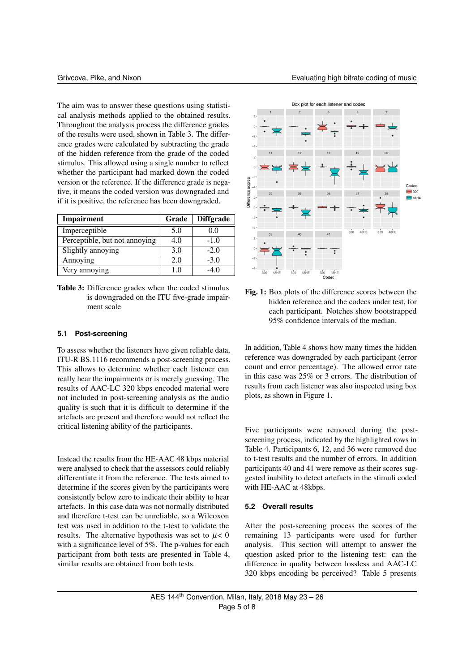The aim was to answer these questions using statistical analysis methods applied to the obtained results. Throughout the analysis process the difference grades of the results were used, shown in Table 3. The difference grades were calculated by subtracting the grade of the hidden reference from the grade of the coded stimulus. This allowed using a single number to reflect whether the participant had marked down the coded version or the reference. If the difference grade is negative, it means the coded version was downgraded and if it is positive, the reference has been downgraded.

| Impairment                    | Grade | <b>Diffgrade</b> |
|-------------------------------|-------|------------------|
| Imperceptible                 | 5.0   | 0.0              |
| Perceptible, but not annoying | 4.0   | $-1.0$           |
| Slightly annoying             | 3.0   | $-2.0$           |
| Annoying                      | 2.0   | $-3.0$           |
| Very annoying                 |       |                  |

Table 3: Difference grades when the coded stimulus is downgraded on the ITU five-grade impairment scale

#### **5.1 Post-screening**

To assess whether the listeners have given reliable data, ITU-R BS.1116 recommends a post-screening process. This allows to determine whether each listener can really hear the impairments or is merely guessing. The results of AAC-LC 320 kbps encoded material were not included in post-screening analysis as the audio quality is such that it is difficult to determine if the artefacts are present and therefore would not reflect the critical listening ability of the participants.

Instead the results from the HE-AAC 48 kbps material were analysed to check that the assessors could reliably differentiate it from the reference. The tests aimed to determine if the scores given by the participants were consistently below zero to indicate their ability to hear artefacts. In this case data was not normally distributed and therefore t-test can be unreliable, so a Wilcoxon test was used in addition to the t-test to validate the results. The alternative hypothesis was set to  $\mu$ < 0 with a significance level of 5%. The p-values for each participant from both tests are presented in Table 4, similar results are obtained from both tests.



Fig. 1: Box plots of the difference scores between the hidden reference and the codecs under test, for each participant. Notches show bootstrapped 95% confidence intervals of the median.

In addition, Table 4 shows how many times the hidden reference was downgraded by each participant (error count and error percentage). The allowed error rate in this case was 25% or 3 errors. The distribution of results from each listener was also inspected using box plots, as shown in Figure 1.

Five participants were removed during the postscreening process, indicated by the highlighted rows in Table 4. Participants 6, 12, and 36 were removed due to t-test results and the number of errors. In addition participants 40 and 41 were remove as their scores suggested inability to detect artefacts in the stimuli coded with HE-AAC at 48kbps.

#### **5.2 Overall results**

After the post-screening process the scores of the remaining 13 participants were used for further analysis. This section will attempt to answer the question asked prior to the listening test: can the difference in quality between lossless and AAC-LC 320 kbps encoding be perceived? Table 5 presents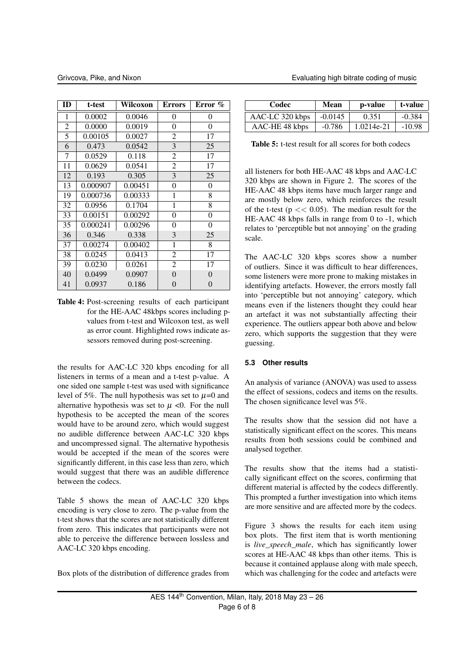| ID              | t-test   | Wilcoxon | <b>Errors</b>  | Error %         |
|-----------------|----------|----------|----------------|-----------------|
| 1               | 0.0002   | 0.0046   | $\overline{0}$ | 0               |
| $\overline{c}$  | 0.0000   | 0.0019   | $\overline{0}$ | $\overline{0}$  |
| $\overline{5}$  | 0.00105  | 0.0027   | 2              | 17              |
| 6               | 0.473    | 0.0542   | 3              | 25              |
| 7               | 0.0529   | 0.118    | 2              | 17              |
| 11              | 0.0629   | 0.0541   | $\overline{c}$ | 17              |
| $\overline{12}$ | 0.193    | 0.305    | $\overline{3}$ | $\overline{25}$ |
| 13              | 0.000907 | 0.00451  | 0              | $\mathbf{0}$    |
| 19              | 0.000736 | 0.00333  | 1              | 8               |
| 32              | 0.0956   | 0.1704   | 1              | $\overline{8}$  |
| 33              | 0.00151  | 0.00292  | $\overline{0}$ | $\overline{0}$  |
| 35              | 0.000241 | 0.00296  | 0              | $\overline{0}$  |
| 36              | 0.346    | 0.338    | 3              | 25              |
| 37              | 0.00274  | 0.00402  | 1              | 8               |
| 38              | 0.0245   | 0.0413   | $\overline{c}$ | 17              |
| 39              | 0.0230   | 0.0261   | 2              | 17              |
| 40              | 0.0499   | 0.0907   | $\overline{0}$ | 0               |
| 41              | 0.0937   | 0.186    | 0              | 0               |

Table 4: Post-screening results of each participant for the HE-AAC 48kbps scores including pvalues from t-test and Wilcoxon test, as well as error count. Highlighted rows indicate assessors removed during post-screening.

the results for AAC-LC 320 kbps encoding for all listeners in terms of a mean and a t-test p-value. A one sided one sample t-test was used with significance level of 5%. The null hypothesis was set to  $\mu$ =0 and alternative hypothesis was set to  $\mu$  <0. For the null hypothesis to be accepted the mean of the scores would have to be around zero, which would suggest no audible difference between AAC-LC 320 kbps and uncompressed signal. The alternative hypothesis would be accepted if the mean of the scores were significantly different, in this case less than zero, which would suggest that there was an audible difference between the codecs.

Table 5 shows the mean of AAC-LC 320 kbps encoding is very close to zero. The p-value from the t-test shows that the scores are not statistically different from zero. This indicates that participants were not able to perceive the difference between lossless and AAC-LC 320 kbps encoding.

Box plots of the distribution of difference grades from

| Codec           | Mean      | p-value    | t-value  |
|-----------------|-----------|------------|----------|
| AAC-LC 320 kbps | $-0.0145$ | 0.351      | $-0.384$ |
| AAC-HE 48 kbps  | $-0.786$  | 1.0214e-21 | $-10.98$ |

Table 5: t-test result for all scores for both codecs

all listeners for both HE-AAC 48 kbps and AAC-LC 320 kbps are shown in Figure 2. The scores of the HE-AAC 48 kbps items have much larger range and are mostly below zero, which reinforces the result of the t-test ( $p \ll 0.05$ ). The median result for the HE-AAC 48 kbps falls in range from 0 to -1, which relates to 'perceptible but not annoying' on the grading scale.

The AAC-LC 320 kbps scores show a number of outliers. Since it was difficult to hear differences, some listeners were more prone to making mistakes in identifying artefacts. However, the errors mostly fall into 'perceptible but not annoying' category, which means even if the listeners thought they could hear an artefact it was not substantially affecting their experience. The outliers appear both above and below zero, which supports the suggestion that they were guessing.

#### **5.3 Other results**

An analysis of variance (ANOVA) was used to assess the effect of sessions, codecs and items on the results. The chosen significance level was 5%.

The results show that the session did not have a statistically significant effect on the scores. This means results from both sessions could be combined and analysed together.

The results show that the items had a statistically significant effect on the scores, confirming that different material is affected by the codecs differently. This prompted a further investigation into which items are more sensitive and are affected more by the codecs.

Figure 3 shows the results for each item using box plots. The first item that is worth mentioning is *live\_speech\_male*, which has significantly lower scores at HE-AAC 48 kbps than other items. This is because it contained applause along with male speech, which was challenging for the codec and artefacts were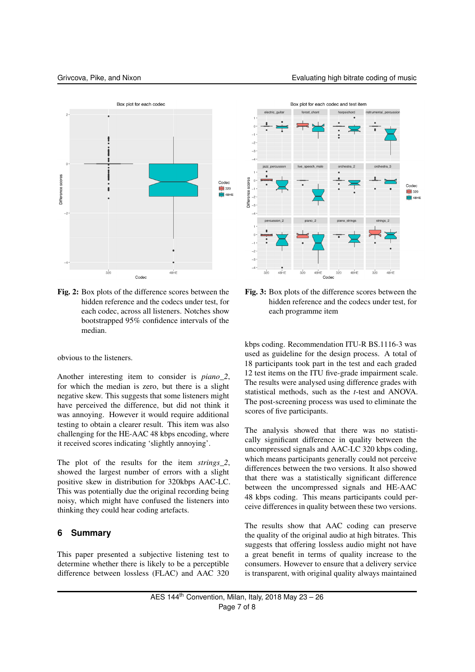

Fig. 2: Box plots of the difference scores between the hidden reference and the codecs under test, for each codec, across all listeners. Notches show bootstrapped 95% confidence intervals of the median.

obvious to the listeners.

Another interesting item to consider is *piano\_2*, for which the median is zero, but there is a slight negative skew. This suggests that some listeners might have perceived the difference, but did not think it was annoying. However it would require additional testing to obtain a clearer result. This item was also challenging for the HE-AAC 48 kbps encoding, where it received scores indicating 'slightly annoying'.

The plot of the results for the item *strings\_2*, showed the largest number of errors with a slight positive skew in distribution for 320kbps AAC-LC. This was potentially due the original recording being noisy, which might have confused the listeners into thinking they could hear coding artefacts.

#### **6 Summary**

This paper presented a subjective listening test to determine whether there is likely to be a perceptible difference between lossless (FLAC) and AAC 320



Fig. 3: Box plots of the difference scores between the hidden reference and the codecs under test, for each programme item

kbps coding. Recommendation ITU-R BS.1116-3 was used as guideline for the design process. A total of 18 participants took part in the test and each graded 12 test items on the ITU five-grade impairment scale. The results were analysed using difference grades with statistical methods, such as the *t*-test and ANOVA. The post-screening process was used to eliminate the scores of five participants.

The analysis showed that there was no statistically significant difference in quality between the uncompressed signals and AAC-LC 320 kbps coding, which means participants generally could not perceive differences between the two versions. It also showed that there was a statistically significant difference between the uncompressed signals and HE-AAC 48 kbps coding. This means participants could perceive differences in quality between these two versions.

The results show that AAC coding can preserve the quality of the original audio at high bitrates. This suggests that offering lossless audio might not have a great benefit in terms of quality increase to the consumers. However to ensure that a delivery service is transparent, with original quality always maintained